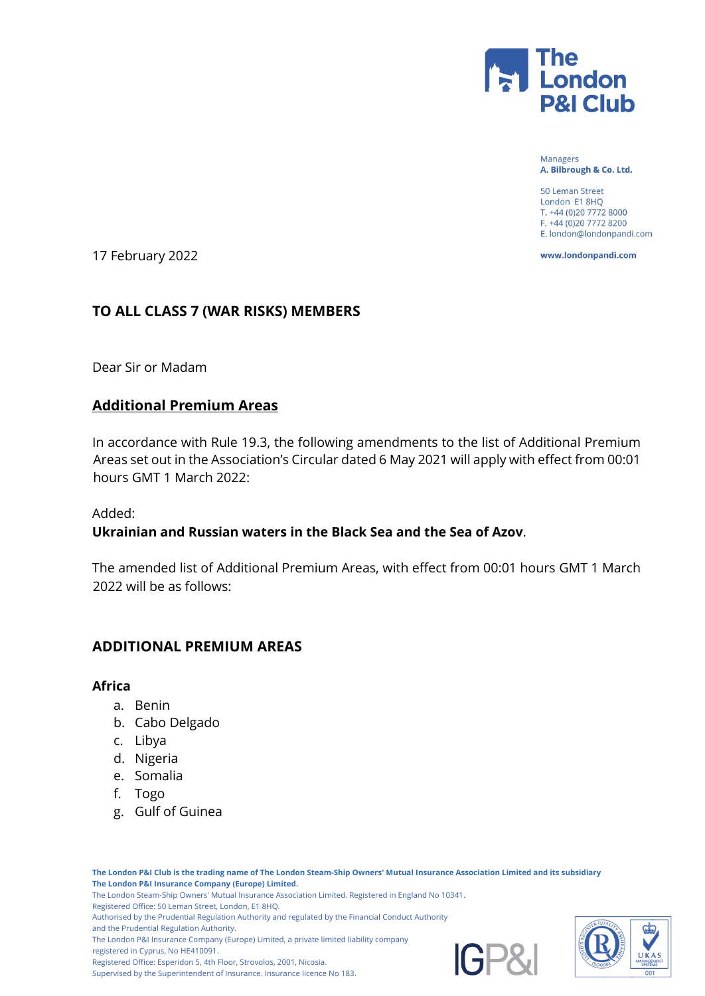

Managers A. Bilbrough & Co. Ltd.

50 Leman Street London E1 8HQ T. +44 (0)20 7772 8000 F. +44 (0)20 7772 8200 E. london@londonpandi.com

www.londonpandi.com

17 February 2022

## **TO ALL CLASS 7 (WAR RISKS) MEMBERS**

Dear Sir or Madam

# **Additional Premium Areas**

In accordance with Rule 19.3, the following amendments to the list of Additional Premium Areas set out in the Association's Circular dated 6 May 2021 will apply with effect from 00:01 hours GMT 1 March 2022:

Added:

### **Ukrainian and Russian waters in the Black Sea and the Sea of Azov**.

The amended list of Additional Premium Areas, with effect from 00:01 hours GMT 1 March 2022 will be as follows:

# **ADDITIONAL PREMIUM AREAS**

#### **Africa**

- a. Benin
- b. Cabo Delgado
- c. Libya
- d. Nigeria
- e. Somalia
- f. Togo
- g. Gulf of Guinea

**The London P&I Club is the trading name of The London Steam-Ship Owners' Mutual Insurance Association Limited and its subsidiary The London P&I Insurance Company (Europe) Limited.** The London Steam-Ship Owners' Mutual Insurance Association Limited. Registered in England No 10341. Registered Office: 50 Leman Street, London, E1 8HQ. Authorised by the Prudential Regulation Authority and regulated by the Financial Conduct Authority and the Prudential Regulation Authority. The London P&I Insurance Company (Europe) Limited, a private limited liability company registered in Cyprus, No HE410091. Registered Office: Esperidon 5, 4th Floor, Strovolos, 2001, Nicosia. Supervised by the Superintendent of Insurance. Insurance licence No 183.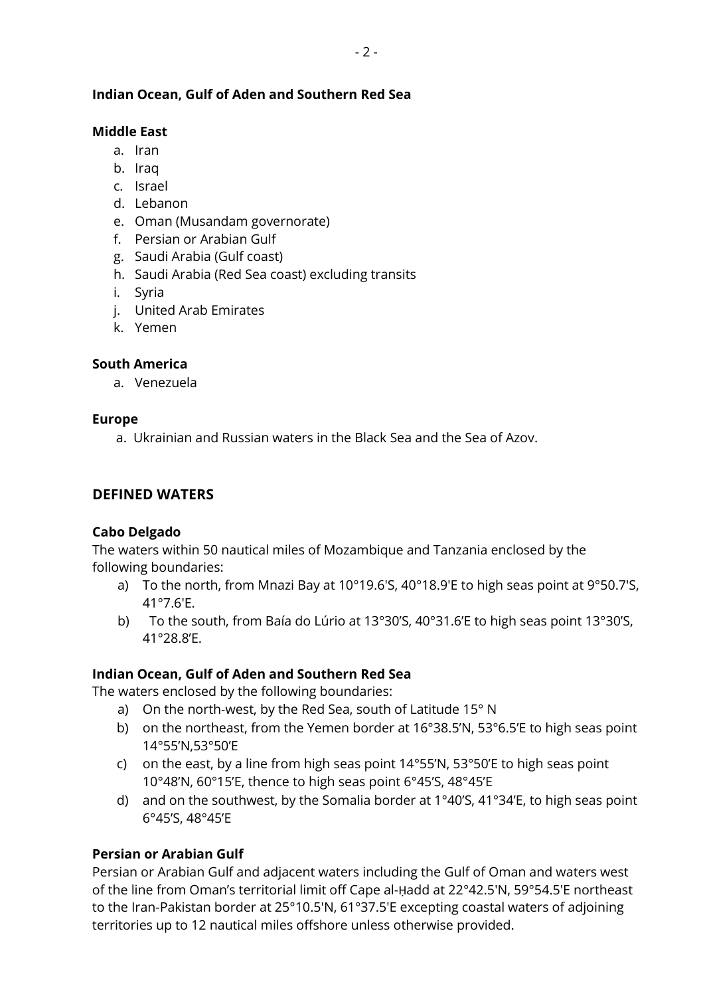## **Indian Ocean, Gulf of Aden and Southern Red Sea**

#### **Middle East**

- a. Iran
- b. Iraq
- c. Israel
- d. Lebanon
- e. Oman (Musandam governorate)
- f. Persian or Arabian Gulf
- g. Saudi Arabia (Gulf coast)
- h. Saudi Arabia (Red Sea coast) excluding transits
- i. Syria
- j. United Arab Emirates
- k. Yemen

## **South America**

a. Venezuela

#### **Europe**

a. Ukrainian and Russian waters in the Black Sea and the Sea of Azov.

### **DEFINED WATERS**

### **Cabo Delgado**

The waters within 50 nautical miles of Mozambique and Tanzania enclosed by the following boundaries:

- a) To the north, from Mnazi Bay at 10°19.6'S, 40°18.9'E to high seas point at 9°50.7'S, 41°7.6'E.
- b) To the south, from Baía do Lúrio at 13°30'S, 40°31.6'E to high seas point 13°30'S, 41°28.8'E.

### **Indian Ocean, Gulf of Aden and Southern Red Sea**

The waters enclosed by the following boundaries:

- a) On the north-west, by the Red Sea, south of Latitude 15° N
- b) on the northeast, from the Yemen border at 16°38.5'N, 53°6.5'E to high seas point 14°55'N,53°50'E
- c) on the east, by a line from high seas point 14°55'N, 53°50'E to high seas point 10°48'N, 60°15'E, thence to high seas point 6°45'S, 48°45'E
- d) and on the southwest, by the Somalia border at 1°40'S, 41°34'E, to high seas point 6°45'S, 48°45'E

### **Persian or Arabian Gulf**

Persian or Arabian Gulf and adjacent waters including the Gulf of Oman and waters west of the line from Oman's territorial limit off Cape al-Ḥadd at 22°42.5'N, 59°54.5'E northeast to the Iran-Pakistan border at 25°10.5'N, 61°37.5'E excepting coastal waters of adjoining territories up to 12 nautical miles offshore unless otherwise provided.